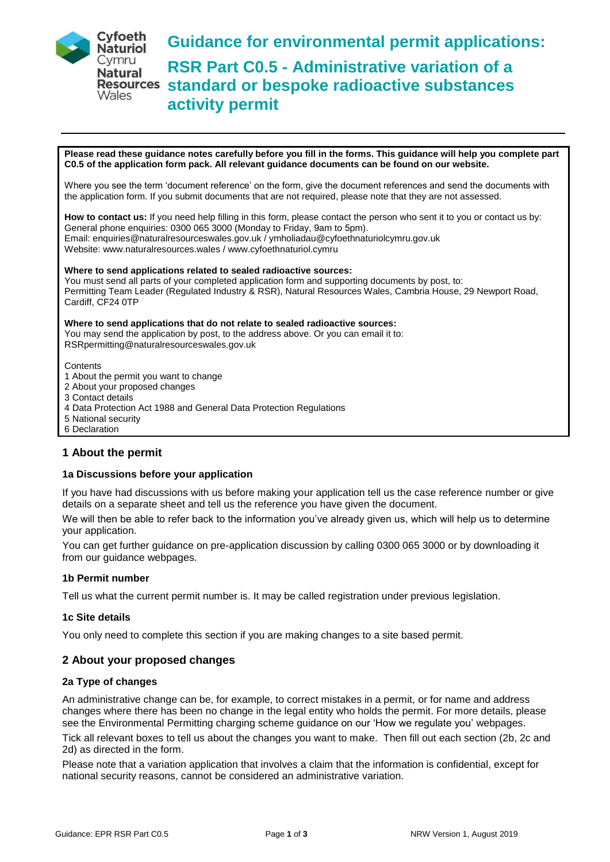

**Guidance for environmental permit applications: RSR Part C0.5 - Administrative variation of a standard or bespoke radioactive substances activity permit** 

**Please read these guidance notes carefully before you fill in the forms. This guidance will help you complete part C0.5 of the application form pack. All relevant guidance documents can be found on our website.** 

Where you see the term 'document reference' on the form, give the document references and send the documents with the application form. If you submit documents that are not required, please note that they are not assessed.

**How to contact us:** If you need help filling in this form, please contact the person who sent it to you or contact us by: General phone enquiries: 0300 065 3000 (Monday to Friday, 9am to 5pm). Email: enquiries@naturalresourceswales.gov.uk / ymholiadau@cyfoethnaturiolcymru.gov.uk Website: www.naturalresources.wales / www.cyfoethnaturiol.cymru

**Where to send applications related to sealed radioactive sources:** 

You must send all parts of your completed application form and supporting documents by post, to: Permitting Team Leader (Regulated Industry & RSR), Natural Resources Wales, Cambria House, 29 Newport Road, Cardiff, CF24 0TP

**Where to send applications that do not relate to sealed radioactive sources:**  You may send the application by post, to the address above. Or you can email it to: RSRpermitting@naturalresourceswales.gov.uk

**Contents** 

- 1 About the permit you want to change
- 2 About your proposed changes
- 3 Contact details
- 4 Data Protection Act 1988 and General Data Protection Regulations
- 5 National security
- 6 Declaration

# **1 About the permit**

#### **1a Discussions before your application**

If you have had discussions with us before making your application tell us the case reference number or give details on a separate sheet and tell us the reference you have given the document.

We will then be able to refer back to the information you've already given us, which will help us to determine your application.

You can get further guidance on pre-application discussion by calling 0300 065 3000 or by downloading it from our guidance webpages.

#### **1b Permit number**

Tell us what the current permit number is. It may be called registration under previous legislation.

#### **1c Site details**

You only need to complete this section if you are making changes to a site based permit.

# **2 About your proposed changes**

# **2a Type of changes**

An administrative change can be, for example, to correct mistakes in a permit, or for name and address changes where there has been no change in the legal entity who holds the permit. For more details, please see the Environmental Permitting charging scheme guidance on our 'How we regulate you' webpages.

Tick all relevant boxes to tell us about the changes you want to make. Then fill out each section (2b, 2c and 2d) as directed in the form.

Please note that a variation application that involves a claim that the information is confidential, except for national security reasons, cannot be considered an administrative variation.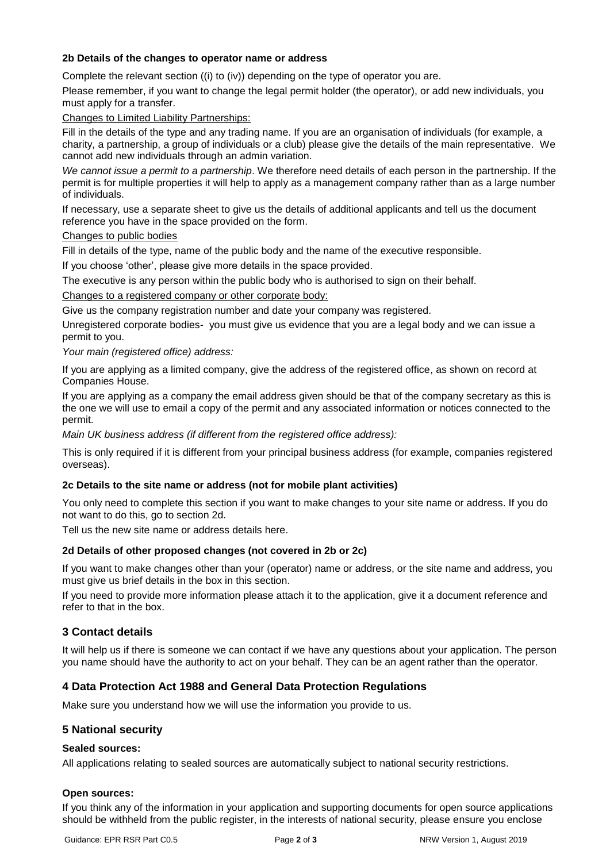# **2b Details of the changes to operator name or address**

Complete the relevant section ((i) to (iv)) depending on the type of operator you are.

Please remember, if you want to change the legal permit holder (the operator), or add new individuals, you must apply for a transfer.

## Changes to Limited Liability Partnerships:

Fill in the details of the type and any trading name. If you are an organisation of individuals (for example, a charity, a partnership, a group of individuals or a club) please give the details of the main representative. We cannot add new individuals through an admin variation.

*We cannot issue a permit to a partnership*. We therefore need details of each person in the partnership. If the permit is for multiple properties it will help to apply as a management company rather than as a large number of individuals.

If necessary, use a separate sheet to give us the details of additional applicants and tell us the document reference you have in the space provided on the form.

### Changes to public bodies

Fill in details of the type, name of the public body and the name of the executive responsible.

If you choose 'other', please give more details in the space provided.

The executive is any person within the public body who is authorised to sign on their behalf.

### Changes to a registered company or other corporate body:

Give us the company registration number and date your company was registered.

Unregistered corporate bodies- you must give us evidence that you are a legal body and we can issue a permit to you.

### *Your main (registered office) address:*

If you are applying as a limited company, give the address of the registered office, as shown on record at Companies House.

If you are applying as a company the email address given should be that of the company secretary as this is the one we will use to email a copy of the permit and any associated information or notices connected to the permit.

*Main UK business address (if different from the registered office address):* 

This is only required if it is different from your principal business address (for example, companies registered overseas).

# **2c Details to the site name or address (not for mobile plant activities)**

You only need to complete this section if you want to make changes to your site name or address. If you do not want to do this, go to section 2d.

Tell us the new site name or address details here.

# **2d Details of other proposed changes (not covered in 2b or 2c)**

If you want to make changes other than your (operator) name or address, or the site name and address, you must give us brief details in the box in this section.

If you need to provide more information please attach it to the application, give it a document reference and refer to that in the box.

# **3 Contact details**

It will help us if there is someone we can contact if we have any questions about your application. The person you name should have the authority to act on your behalf. They can be an agent rather than the operator.

# **4 Data Protection Act 1988 and General Data Protection Regulations**

Make sure you understand how we will use the information you provide to us.

# **5 National security**

# **Sealed sources:**

All applications relating to sealed sources are automatically subject to national security restrictions.

#### **Open sources:**

If you think any of the information in your application and supporting documents for open source applications should be withheld from the public register, in the interests of national security, please ensure you enclose